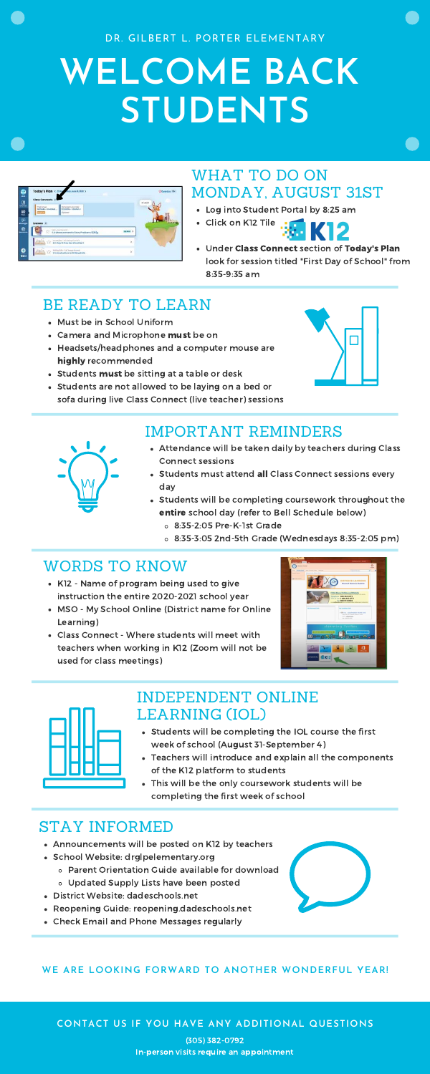# **WELCOME BACK STUDENTS**

| <b>Ind Josele1</b> |
|--------------------|
|                    |
|                    |
|                    |
|                    |
| De Nickt 3         |
|                    |
|                    |
| r<br>ÿ             |

DR. GILBERT L. PORTER ELEMENTARY

### WHAT TO DO ON MONDAY, AUGUST 31ST

- Log into Student Portal by 8:25 am
- Click on K12 Tile
- Under Class Connect section of Today's Plan look for session titled "First Day of School" from 8:35-9:35 am

## BE READY TO LEARN

- Must be in School Uniform
- Camera and Microphone must be on
- Headsets/headphones and a computer mouse are highly recommended
- Students must be sitting at a table or desk
- Students are not allowed to be laying on a bed or sofa during live Class Connect (live teacher) sessions





# IMPORTANT REMINDERS

- Attendance will be taken daily by teachers during Class Connect sessions
- Students must attend all Class Connect sessions every day
- Students will be completing coursework throughout the entire school day (refer to Bell Schedule below)
	- 8:35-2:05 Pre-K-1st Grade
	- 8:35-3:05 2nd-5th Grade (Wednesdays 8:35-2:05 pm)

# WORDS TO KNOW

- K12 Name of program being used to give instruction the entire 2020-2021 school year
- MSO My School Online (District name for Online Learning)
- Class Connect Where students will meet with



teachers when working in K12 (Zoom will not be used for class meetings)





# STAY INFORMED

- Announcements will be posted on K12 by teachers
- School Website: drglpelementary.org
	- Parent Orientation Guide available for download
	- Updated Supply Lists have been posted
- District Website: dadeschools.net
- Reopening Guide: reopening.dadeschools.net
- Check Email and Phone Messages regularly



## INDEPENDENT ONLINE LEARNING (IOL)

- Students will be completing the IOL course the first week of school (August 31-September 4)
- Teachers will introduce and explain all the components of the K12 platform to students
- This will be the only coursework students will be completing the first week of school

#### **CONTACT US IF YOU HAVE ANY ADDITIONAL QUESTIONS**

(305) 382-0792 In-person visits require an appointment

### **WE ARE LOOKING FORWARD TO ANOTHER WONDERFUL YEAR!**